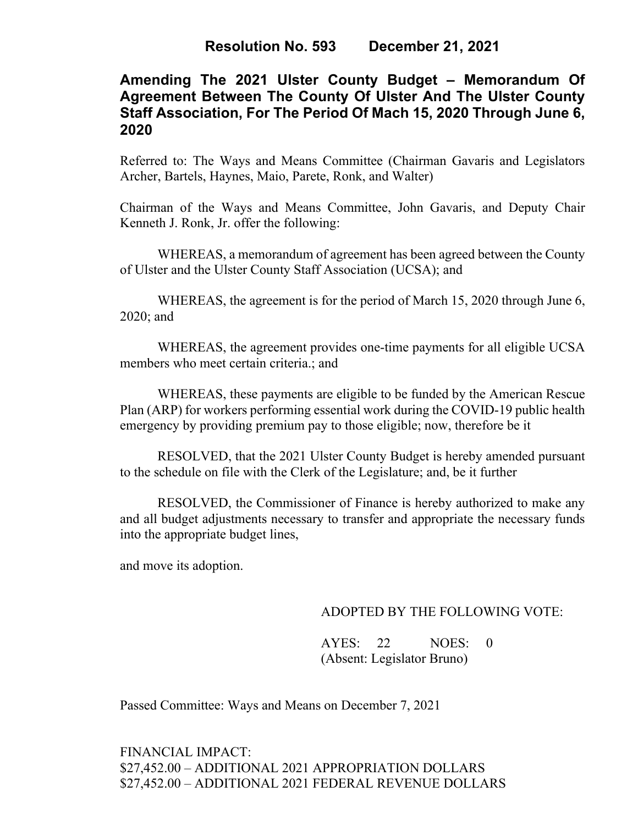## **Amending The 2021 Ulster County Budget – Memorandum Of Agreement Between The County Of Ulster And The Ulster County Staff Association, For The Period Of Mach 15, 2020 Through June 6, 2020**

Referred to: The Ways and Means Committee (Chairman Gavaris and Legislators Archer, Bartels, Haynes, Maio, Parete, Ronk, and Walter)

Chairman of the Ways and Means Committee, John Gavaris, and Deputy Chair Kenneth J. Ronk, Jr. offer the following:

WHEREAS, a memorandum of agreement has been agreed between the County of Ulster and the Ulster County Staff Association (UCSA); and

WHEREAS, the agreement is for the period of March 15, 2020 through June 6, 2020; and

WHEREAS, the agreement provides one-time payments for all eligible UCSA members who meet certain criteria.; and

WHEREAS, these payments are eligible to be funded by the American Rescue Plan (ARP) for workers performing essential work during the COVID-19 public health emergency by providing premium pay to those eligible; now, therefore be it

RESOLVED, that the 2021 Ulster County Budget is hereby amended pursuant to the schedule on file with the Clerk of the Legislature; and, be it further

RESOLVED, the Commissioner of Finance is hereby authorized to make any and all budget adjustments necessary to transfer and appropriate the necessary funds into the appropriate budget lines,

and move its adoption.

## ADOPTED BY THE FOLLOWING VOTE:

AYES: 22 NOES: 0 (Absent: Legislator Bruno)

Passed Committee: Ways and Means on December 7, 2021

FINANCIAL IMPACT: \$27,452.00 – ADDITIONAL 2021 APPROPRIATION DOLLARS \$27,452.00 – ADDITIONAL 2021 FEDERAL REVENUE DOLLARS